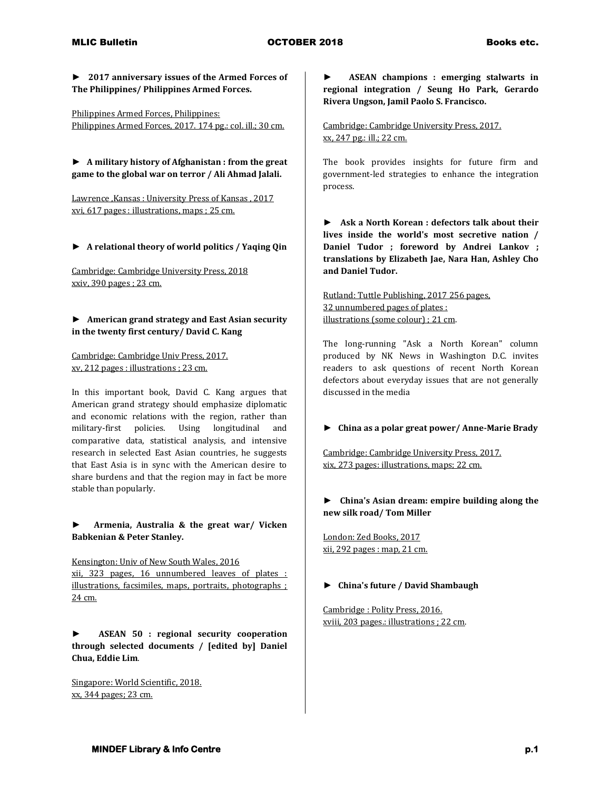**► 2017 anniversary issues of the Armed Forces of The Philippines/ Philippines Armed Forces.**

Philippines Armed Forces, Philippines: Philippines Armed Forces, 2017. 174 pg.: col. ill.; 30 cm.

**► A military history of Afghanistan : from the great game to the global war on terror / Ali Ahmad Jalali.**

Lawrence ,Kansas : University Press of Kansas , 2017 xvi, 617 pages : illustrations, maps ; 25 cm.

**► A relational theory of world politics / Yaqing Qin**

Cambridge: Cambridge University Press, 2018 xxiv, 390 pages ; 23 cm.

**► American grand strategy and East Asian security in the twenty first century/ David C. Kang**

Cambridge: Cambridge Univ Press, 2017. xv, 212 pages : illustrations ; 23 cm.

In this important book, David C. Kang argues that American grand strategy should emphasize diplomatic and economic relations with the region, rather than military-first policies. Using longitudinal and comparative data, statistical analysis, and intensive research in selected East Asian countries, he suggests that East Asia is in sync with the American desire to share burdens and that the region may in fact be more stable than popularly.

**► Armenia, Australia & the great war/ Vicken Babkenian & Peter Stanley.**

Kensington: Univ of New South Wales, 2016 xii, 323 pages, 16 unnumbered leaves of plates : illustrations, facsimiles, maps, portraits, photographs ; 24 cm.

**► ASEAN 50 : regional security cooperation through selected documents / [edited by] Daniel Chua, Eddie Lim**.

Singapore: World Scientific, 2018. xx, 344 pages; 23 cm.

**► ASEAN champions : emerging stalwarts in regional integration / Seung Ho Park, Gerardo Rivera Ungson, Jamil Paolo S. Francisco.**

Cambridge: Cambridge University Press, 2017. xx, 247 pg.: ill.; 22 cm.

The book provides insights for future firm and government-led strategies to enhance the integration process.

**► Ask a North Korean : defectors talk about their lives inside the world's most secretive nation / Daniel Tudor ; foreword by Andrei Lankov ; translations by Elizabeth Jae, Nara Han, Ashley Cho and Daniel Tudor.**

Rutland: Tuttle Publishing, 2017 256 pages, 32 unnumbered pages of plates : illustrations (some colour) ; 21 cm.

The long-running "Ask a North Korean" column produced by NK News in Washington D.C. invites readers to ask questions of recent North Korean defectors about everyday issues that are not generally discussed in the media

#### **► China as a polar great power/ Anne-Marie Brady**

Cambridge: Cambridge University Press, 2017. xix, 273 pages: illustrations, maps; 22 cm.

### **► China's Asian dream: empire building along the new silk road/ Tom Miller**

London: Zed Books, 2017 xii, 292 pages : map, 21 cm.

#### **► China's future / David Shambaugh**

Cambridge : Polity Press, 2016. xviii, 203 pages.: illustrations ; 22 cm.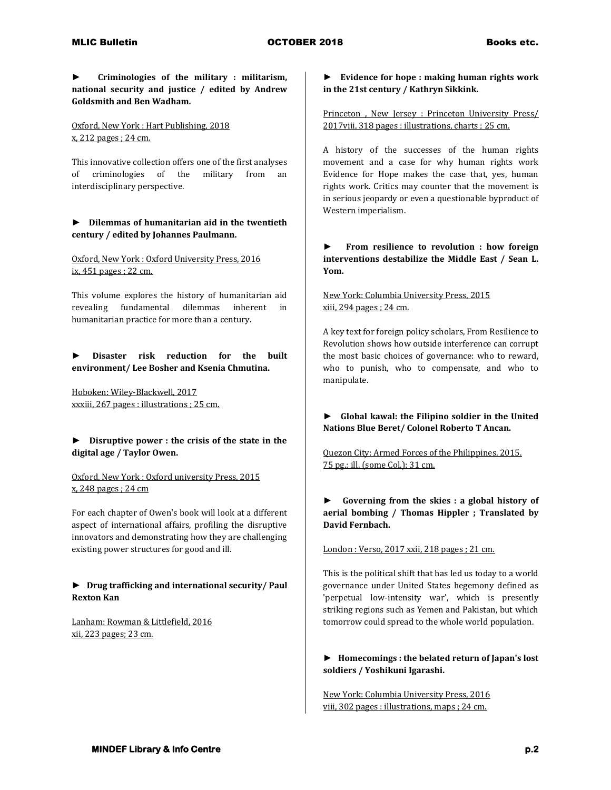**► Criminologies of the military : militarism, national security and justice / edited by Andrew Goldsmith and Ben Wadham.**

Oxford, New York : Hart Publishing, 2018 x, 212 pages ; 24 cm.

This innovative collection offers one of the first analyses of criminologies of the military from an interdisciplinary perspective.

# **► Dilemmas of humanitarian aid in the twentieth century / edited by Johannes Paulmann.**

Oxford, New York : Oxford University Press, 2016 ix, 451 pages ; 22 cm.

This volume explores the history of humanitarian aid revealing fundamental dilemmas inherent in humanitarian practice for more than a century.

**► Disaster risk reduction for the built environment/ Lee Bosher and Ksenia Chmutina.**

Hoboken: Wiley-Blackwell, 2017 xxxiii, 267 pages : illustrations ; 25 cm.

**► Disruptive power : the crisis of the state in the digital age / Taylor Owen.**

Oxford, New York : Oxford university Press, 2015 x, 248 pages ; 24 cm

For each chapter of Owen's book will look at a different aspect of international affairs, profiling the disruptive innovators and demonstrating how they are challenging existing power structures for good and ill.

### **► Drug trafficking and international security/ Paul Rexton Kan**

Lanham: Rowman & Littlefield, 2016 xii, 223 pages; 23 cm.

### **► Evidence for hope : making human rights work in the 21st century / Kathryn Sikkink.**

Princeton , New Jersey : Princeton University Press/ 2017viii, 318 pages : illustrations, charts ; 25 cm.

A history of the successes of the human rights movement and a case for why human rights work Evidence for Hope makes the case that, yes, human rights work. Critics may counter that the movement is in serious jeopardy or even a questionable byproduct of Western imperialism.

**► From resilience to revolution : how foreign interventions destabilize the Middle East / Sean L. Yom.**

New York: Columbia University Press, 2015 xiii, 294 pages ; 24 cm.

A key text for foreign policy scholars, From Resilience to Revolution shows how outside interference can corrupt the most basic choices of governance: who to reward, who to punish, who to compensate, and who to manipulate.

# **► Global kawal: the Filipino soldier in the United Nations Blue Beret/ Colonel Roberto T Ancan.**

Quezon City: Armed Forces of the Philippines, 2015. 75 pg.: ill. (some Col.); 31 cm.

**► Governing from the skies : a global history of aerial bombing / Thomas Hippler ; Translated by David Fernbach.**

London : Verso, 2017 xxii, 218 pages ; 21 cm.

This is the political shift that has led us today to a world governance under United States hegemony defined as 'perpetual low-intensity war', which is presently striking regions such as Yemen and Pakistan, but which tomorrow could spread to the whole world population.

**► Homecomings : the belated return of Japan's lost soldiers / Yoshikuni Igarashi.**

New York: Columbia University Press, 2016 viii, 302 pages : illustrations, maps ; 24 cm.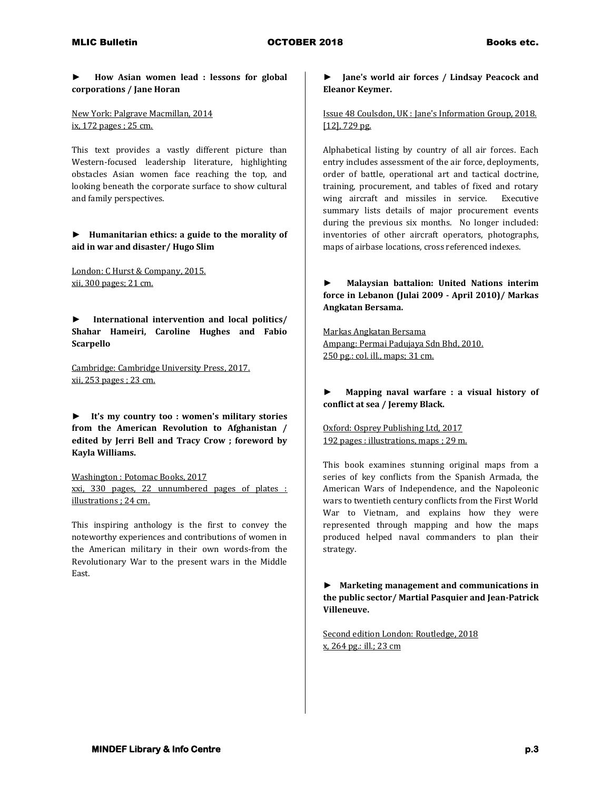**► How Asian women lead : lessons for global corporations / Jane Horan**

New York: Palgrave Macmillan, 2014 ix, 172 pages ; 25 cm.

This text provides a vastly different picture than Western-focused leadership literature, highlighting obstacles Asian women face reaching the top, and looking beneath the corporate surface to show cultural and family perspectives.

**► Humanitarian ethics: a guide to the morality of aid in war and disaster/ Hugo Slim**

London: C Hurst & Company, 2015. xii, 300 pages; 21 cm.

**► International intervention and local politics/ Shahar Hameiri, Caroline Hughes and Fabio Scarpello**

Cambridge: Cambridge University Press, 2017. xii, 253 pages ; 23 cm.

**► It's my country too : women's military stories from the American Revolution to Afghanistan / edited by Jerri Bell and Tracy Crow ; foreword by Kayla Williams.**

Washington : Potomac Books, 2017 xxi, 330 pages, 22 unnumbered pages of plates : illustrations ; 24 cm.

This inspiring anthology is the first to convey the noteworthy experiences and contributions of women in the American military in their own words-from the Revolutionary War to the present wars in the Middle East.

# **► Jane's world air forces / Lindsay Peacock and Eleanor Keymer.**

Issue 48 Coulsdon, UK : Jane's Information Group, 2018. [12], 729 pg.

Alphabetical listing by country of all air forces. Each entry includes assessment of the air force, deployments, order of battle, operational art and tactical doctrine, training, procurement, and tables of fixed and rotary wing aircraft and missiles in service. Executive summary lists details of major procurement events during the previous six months. No longer included: inventories of other aircraft operators, photographs, maps of airbase locations, cross referenced indexes.

# **► Malaysian battalion: United Nations interim force in Lebanon (Julai 2009 - April 2010)/ Markas Angkatan Bersama.**

Markas Angkatan Bersama Ampang: Permai Padujaya Sdn Bhd, 2010. 250 pg.: col. ill., maps; 31 cm.

### **► Mapping naval warfare : a visual history of conflict at sea / Jeremy Black.**

Oxford: Osprey Publishing Ltd, 2017 192 pages : illustrations, maps ; 29 m.

This book examines stunning original maps from a series of key conflicts from the Spanish Armada, the American Wars of Independence, and the Napoleonic wars to twentieth century conflicts from the First World War to Vietnam, and explains how they were represented through mapping and how the maps produced helped naval commanders to plan their strategy.

**► Marketing management and communications in the public sector/ Martial Pasquier and Jean-Patrick Villeneuve.**

Second edition London: Routledge, 2018 x, 264 pg.: ill.; 23 cm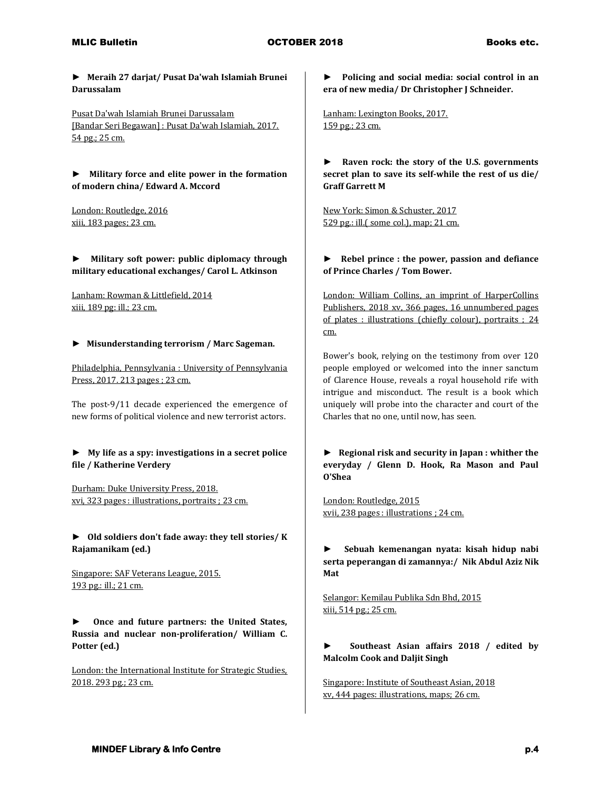**► Meraih 27 darjat/ Pusat Da'wah Islamiah Brunei Darussalam**

Pusat Da'wah Islamiah Brunei Darussalam [Bandar Seri Begawan] : Pusat Da'wah Islamiah, 2017. 54 pg.; 25 cm.

**► Military force and elite power in the formation of modern china/ Edward A. Mccord**

London: Routledge, 2016 xiii, 183 pages; 23 cm.

**► Military soft power: public diplomacy through military educational exchanges/ Carol L. Atkinson**

Lanham: Rowman & Littlefield, 2014 xiii, 189 pg: ill.; 23 cm.

#### **► Misunderstanding terrorism / Marc Sageman.**

Philadelphia, Pennsylvania : University of Pennsylvania Press, 2017. 213 pages ; 23 cm.

The post-9/11 decade experienced the emergence of new forms of political violence and new terrorist actors.

**► My life as a spy: investigations in a secret police file / Katherine Verdery**

Durham: Duke University Press, 2018. xvi, 323 pages : illustrations, portraits ; 23 cm.

**► Old soldiers don't fade away: they tell stories/ K Rajamanikam (ed.)**

Singapore: SAF Veterans League, 2015. 193 pg.: ill.; 21 cm.

**► Once and future partners: the United States, Russia and nuclear non-proliferation/ William C. Potter (ed.)**

London: the International Institute for Strategic Studies, 2018. 293 pg.; 23 cm.

**► Policing and social media: social control in an era of new media/ Dr Christopher J Schneider.**

Lanham: Lexington Books, 2017. 159 pg.; 23 cm.

**► Raven rock: the story of the U.S. governments secret plan to save its self-while the rest of us die/ Graff Garrett M**

New York: Simon & Schuster, 2017 529 pg.: ill.( some col.), map; 21 cm.

### **► Rebel prince : the power, passion and defiance of Prince Charles / Tom Bower.**

London: William Collins, an imprint of HarperCollins Publishers, 2018 xv, 366 pages, 16 unnumbered pages of plates : illustrations (chiefly colour), portraits ; 24 cm.

Bower's book, relying on the testimony from over 120 people employed or welcomed into the inner sanctum of Clarence House, reveals a royal household rife with intrigue and misconduct. The result is a book which uniquely will probe into the character and court of the Charles that no one, until now, has seen.

**► Regional risk and security in Japan : whither the everyday / Glenn D. Hook, Ra Mason and Paul O'Shea**

London: Routledge, 2015 xvii, 238 pages : illustrations ; 24 cm.

**► Sebuah kemenangan nyata: kisah hidup nabi serta peperangan di zamannya:/ Nik Abdul Aziz Nik Mat**

Selangor: Kemilau Publika Sdn Bhd, 2015 xiii, 514 pg.; 25 cm.

### **► Southeast Asian affairs 2018 / edited by Malcolm Cook and Daljit Singh**

Singapore: Institute of Southeast Asian, 2018 xv, 444 pages: illustrations, maps; 26 cm.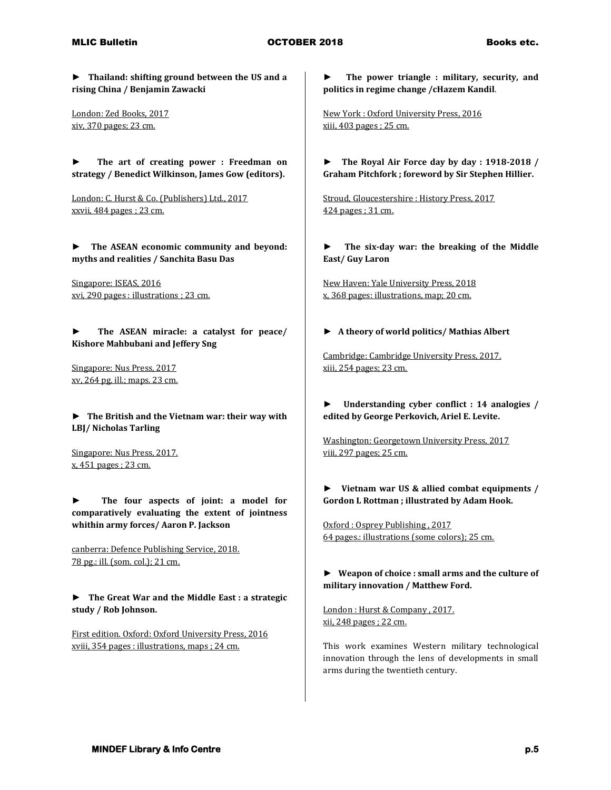# MLIC Bulletin **Allection COCTOBER 2018** Books etc.

**► Thailand: shifting ground between the US and a rising China / Benjamin Zawacki**

London: Zed Books, 2017 xiv, 370 pages; 23 cm.

**► The art of creating power : Freedman on strategy / Benedict Wilkinson, James Gow (editors).**

London: C. Hurst & Co. (Publishers) Ltd., 2017 xxvii, 484 pages ; 23 cm.

**► The ASEAN economic community and beyond: myths and realities / Sanchita Basu Das**

Singapore: ISEAS, 2016 xvi, 290 pages : illustrations ; 23 cm.

**► The ASEAN miracle: a catalyst for peace/ Kishore Mahbubani and Jeffery Sng**

Singapore: Nus Press, 2017 xv, 264 pg. ill.; maps. 23 cm.

**► The British and the Vietnam war: their way with LBJ/ Nicholas Tarling**

Singapore: Nus Press, 2017. x, 451 pages ; 23 cm.

**► The four aspects of joint: a model for comparatively evaluating the extent of jointness whithin army forces/ Aaron P. Jackson**

canberra: Defence Publishing Service, 2018. 78 pg.: ill. (som. col.); 21 cm.

**► The Great War and the Middle East : a strategic study / Rob Johnson.**

First edition. Oxford: Oxford University Press, 2016 xviii, 354 pages : illustrations, maps ; 24 cm.

**► The power triangle : military, security, and politics in regime change /cHazem Kandil**.

New York : Oxford University Press, 2016 xiii, 403 pages ; 25 cm.

**► The Royal Air Force day by day : 1918-2018 / Graham Pitchfork ; foreword by Sir Stephen Hillier.**

Stroud, Gloucestershire : History Press, 2017 424 pages ; 31 cm.

**► The six-day war: the breaking of the Middle East/ Guy Laron**

New Haven: Yale University Press, 2018 x, 368 pages: illustrations, map; 20 cm.

**► A theory of world politics/ Mathias Albert**

Cambridge: Cambridge University Press, 2017. xiii, 254 pages; 23 cm.

**► Understanding cyber conflict : 14 analogies / edited by George Perkovich, Ariel E. Levite.**

Washington: Georgetown University Press, 2017 viii, 297 pages; 25 cm.

**► Vietnam war US & allied combat equipments / Gordon L Rottman ; illustrated by Adam Hook.**

Oxford : Osprey Publishing , 2017 64 pages.: illustrations (some colors); 25 cm.

**► Weapon of choice : small arms and the culture of military innovation / Matthew Ford.**

London : Hurst & Company , 2017. xii, 248 pages ; 22 cm.

This work examines Western military technological innovation through the lens of developments in small arms during the twentieth century.